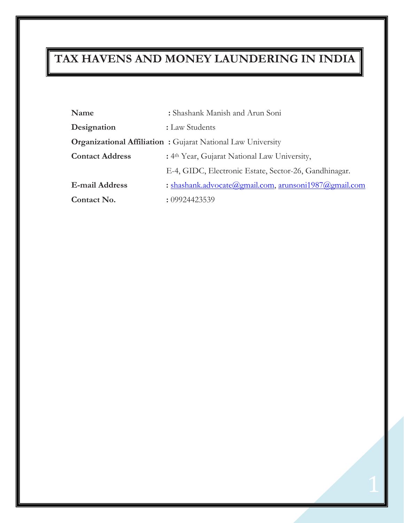# **TAX HAVENS AND MONEY LAUNDERING IN INDIA**

| Name                   | : Shashank Manish and Arun Soni                                    |
|------------------------|--------------------------------------------------------------------|
| Designation            | : Law Students                                                     |
|                        | <b>Organizational Affiliation:</b> Gujarat National Law University |
| <b>Contact Address</b> | : 4th Year, Gujarat National Law University,                       |
|                        | E-4, GIDC, Electronic Estate, Sector-26, Gandhinagar.              |
| <b>E-mail Address</b>  | : shashank.advocate@gmail.com, arunsoni1987@gmail.com              |
| Contact No.            | : 09924423539                                                      |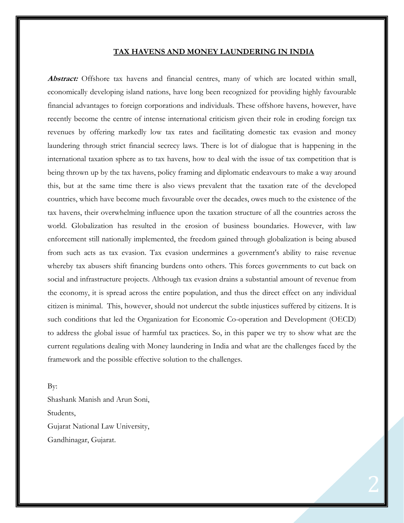#### **TAX HAVENS AND MONEY LAUNDERING IN INDIA**

**Abstract:** Offshore tax havens and financial centres, many of which are located within small, economically developing island nations, have long been recognized for providing highly favourable financial advantages to foreign corporations and individuals. These offshore havens, however, have recently become the centre of intense international criticism given their role in eroding foreign tax revenues by offering markedly low tax rates and facilitating domestic tax evasion and money laundering through strict financial secrecy laws. There is lot of dialogue that is happening in the international taxation sphere as to tax havens, how to deal with the issue of tax competition that is being thrown up by the tax havens, policy framing and diplomatic endeavours to make a way around this, but at the same time there is also views prevalent that the taxation rate of the developed countries, which have become much favourable over the decades, owes much to the existence of the tax havens, their overwhelming influence upon the taxation structure of all the countries across the world. Globalization has resulted in the erosion of business boundaries. However, with law enforcement still nationally implemented, the freedom gained through globalization is being abused from such acts as tax evasion. Tax evasion undermines a government's ability to raise revenue whereby tax abusers shift financing burdens onto others. This forces governments to cut back on social and infrastructure projects. Although tax evasion drains a substantial amount of revenue from the economy, it is spread across the entire population, and thus the direct effect on any individual citizen is minimal. This, however, should not undercut the subtle injustices suffered by citizens. It is such conditions that led the Organization for Economic Co-operation and Development (OECD) to address the global issue of harmful tax practices. So, in this paper we try to show what are the current regulations dealing with Money laundering in India and what are the challenges faced by the framework and the possible effective solution to the challenges.

By: Shashank Manish and Arun Soni, Students, Gujarat National Law University, Gandhinagar, Gujarat.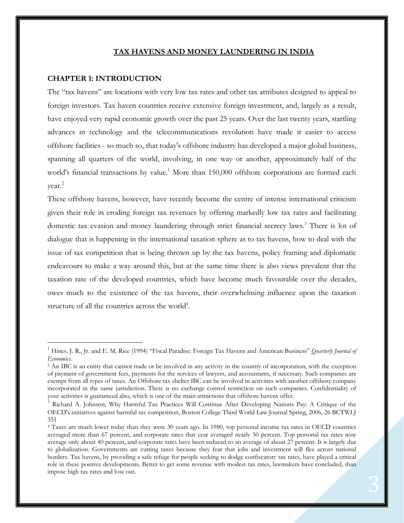## **TAX HAVENS AND MONEY LAUNDERING IN INDIA**

## **CHAPTER 1: INTRODUCTION**

1

The "tax havens" are locations with very low tax rates and other tax attributes designed to appeal to foreign investors. Tax haven countries receive extensive foreign investment, and, largely as a result, have enjoyed very rapid economic growth over the past 25 years. Over the last twenty years, startling advances in technology and the telecommunications revolution have made it easier to access offshore facilities - so much so, that today's offshore industry has developed a major global business, spanning all quarters of the world, involving, in one way or another, approximately half of the world's financial transactions by value.<sup>1</sup> More than 150,000 offshore corporations are formed each year.<sup>2</sup>

These offshore havens, however, have recently become the centre of intense international criticism given their role in eroding foreign tax revenues by offering markedly low tax rates and facilitating domestic tax evasion and money laundering through strict financial secrecy laws.<sup>3</sup> There is lot of dialogue that is happening in the international taxation sphere as to tax havens, how to deal with the issue of tax competition that is being thrown up by the tax havens, policy framing and diplomatic endeavours to make a way around this, but at the same time there is also views prevalent that the taxation rate of the developed countries, which have become much favourable over the decades, owes much to the existence of the tax havens, their overwhelming influence upon the taxation structure of all the countries across the world<sup>4</sup>.

<sup>&</sup>lt;sup>1</sup> Hines, J. R., Jr. and E. M. Rice (1994) "Fiscal Paradise: Foreign Tax Havens and American Business" *Quarterly Journal of Economics*.<br><sup>2</sup> An IBC is an entity that cannot trade or be involved in any activity in the country of incorporation, with the exception

of payment of government fees, payments for the services of lawyers, and accountants, if necessary. Such companies are exempt from all types of taxes. An Offshore tax shelter IBC can be involved in activities with another offshore company incorporated in the same jurisdiction. There is no exchange control restriction on such companies. Confidentiality of your activities is guaranteed also, which is one of the main attractions that offshore havens offer.

<sup>&</sup>lt;sup>3</sup> Richard A. Johnson, Why Harmful Tax Practices Will Continue After Developing Nations Pay: A Critique of the OECD's initiatives against harmful tax competition, Boston College Third World Law Journal Spring, 2006, 26 BCTWLJ 351

<sup>4</sup> Taxes are much lower today than they were 30 years ago. In 1980, top personal income tax rates in OECD countries averaged more than 67 percent, and corporate rates that year averaged nearly 50 percent. Top personal tax rates now average only about 40 percent, and corporate rates have been reduced to an average of about 27 percent. It is largely due to globalization. Governments are cutting taxes because they fear that jobs and investment will flee across national borders. Tax havens, by providing a safe refuge for people seeking to dodge confiscatory tax rates, have played a critical role in these positive developments. Better to get some revenue with modest tax rates, lawmakers have concluded, than impose high tax rates and lose out.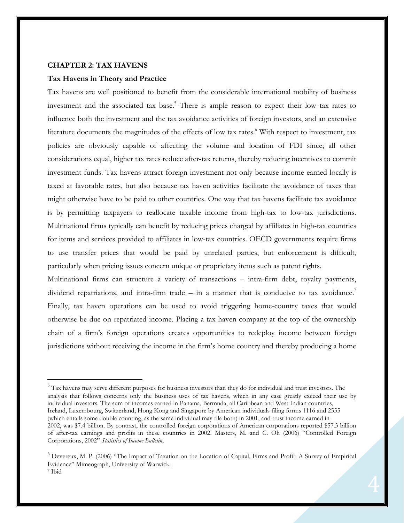## **CHAPTER 2: TAX HAVENS**

1

## **Tax Havens in Theory and Practice**

Tax havens are well positioned to benefit from the considerable international mobility of business investment and the associated tax base.<sup>5</sup> There is ample reason to expect their low tax rates to influence both the investment and the tax avoidance activities of foreign investors, and an extensive literature documents the magnitudes of the effects of low tax rates.<sup>6</sup> With respect to investment, tax policies are obviously capable of affecting the volume and location of FDI since; all other considerations equal, higher tax rates reduce after-tax returns, thereby reducing incentives to commit investment funds. Tax havens attract foreign investment not only because income earned locally is taxed at favorable rates, but also because tax haven activities facilitate the avoidance of taxes that might otherwise have to be paid to other countries. One way that tax havens facilitate tax avoidance is by permitting taxpayers to reallocate taxable income from high-tax to low-tax jurisdictions. Multinational firms typically can benefit by reducing prices charged by affiliates in high-tax countries for items and services provided to affiliates in low-tax countries. OECD governments require firms to use transfer prices that would be paid by unrelated parties, but enforcement is difficult, particularly when pricing issues concern unique or proprietary items such as patent rights.

Multinational firms can structure a variety of transactions – intra-firm debt, royalty payments, dividend repatriations, and intra-firm trade  $-$  in a manner that is conducive to tax avoidance.<sup>7</sup> Finally, tax haven operations can be used to avoid triggering home-country taxes that would otherwise be due on repatriated income. Placing a tax haven company at the top of the ownership chain of a firm's foreign operations creates opportunities to redeploy income between foreign jurisdictions without receiving the income in the firm's home country and thereby producing a home

 $5$  Tax havens may serve different purposes for business investors than they do for individual and trust investors. The analysis that follows concerns only the business uses of tax havens, which in any case greatly exceed their use by individual investors. The sum of incomes earned in Panama, Bermuda, all Caribbean and West Indian countries, Ireland, Luxembourg, Switzerland, Hong Kong and Singapore by American individuals filing forms 1116 and 2555 (which entails some double counting, as the same individual may file both) in 2001, and trust income earned in 2002, was \$7.4 billion. By contrast, the controlled foreign corporations of American corporations reported \$57.3 billion of after-tax earnings and profits in these countries in 2002. Masters, M. and C. Oh (2006) "Controlled Foreign Corporations, 2002" *Statistics of Income Bulletin*,

<sup>6</sup> Devereux, M. P. (2006) "The Impact of Taxation on the Location of Capital, Firms and Profit: A Survey of Empirical Evidence" Mimeograph, University of Warwick. 7 Ibid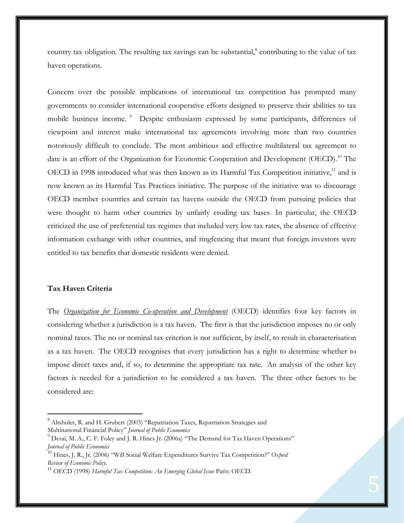country tax obligation. The resulting tax savings can be substantial, $\delta$  contributing to the value of tax haven operations.

Concern over the possible implications of international tax competition has prompted many governments to consider international cooperative efforts designed to preserve their abilities to tax mobile business income.<sup>9</sup> Despite enthusiasm expressed by some participants, differences of viewpoint and interest make international tax agreements involving more than two countries notoriously difficult to conclude. The most ambitious and effective multilateral tax agreement to date is an effort of the Organization for Economic Cooperation and Development (OECD).<sup>10</sup> The OECD in 1998 introduced what was then known as its Harmful Tax Competition initiative,<sup>11</sup> and is now known as its Harmful Tax Practices initiative. The purpose of the initiative was to discourage OECD member countries and certain tax havens outside the OECD from pursuing policies that were thought to harm other countries by unfairly eroding tax bases. In particular, the OECD criticized the use of preferential tax regimes that included very low tax rates, the absence of effective information exchange with other countries, and ringfencing that meant that foreign investors were entitled to tax benefits that domestic residents were denied.

# **Tax Haven Criteria**

 $\overline{a}$ 

The *Organization for Economic Co-operation and Development* (OECD) identifies four key factors in considering whether a jurisdiction is a tax haven. The first is that the jurisdiction imposes no or only nominal taxes. The no or nominal tax criterion is not sufficient, by itself, to result in characterisation as a tax haven. The OECD recognises that every jurisdiction has a right to determine whether to impose direct taxes and, if so, to determine the appropriate tax rate. An analysis of the other key factors is needed for a jurisdiction to be considered a tax haven. The three other factors to be considered are:

<sup>&</sup>lt;sup>8</sup> Altshuler, R. and H. Grubert (2003) "Repatriation Taxes, Repatriation Strategies and Multinational Financial Policy" *Journal of Public Economics*

<sup>&</sup>lt;sup>9</sup> Desai, M. A., C. F. Foley and J. R. Hines Jr. (2006a) "The Demand for Tax Haven Operations" *Journal of Public Economics*

<sup>10</sup> Hines, J. R., Jr. (2006) "Will Social Welfare Expenditures Survive Tax Competition?" *Oxford Review of Economic Policy*. 11 OECD (1998) *Harmful Tax Competition: An Emerging Global Issue* Paris: OECD.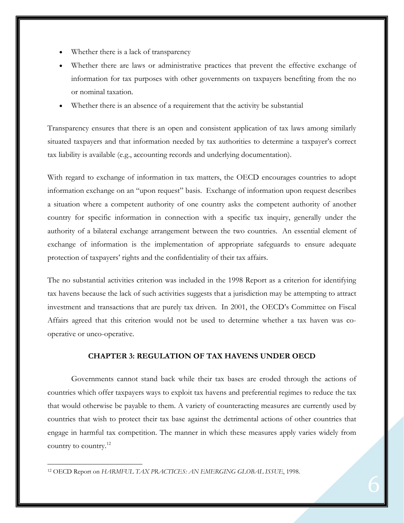- Whether there is a lack of transparency
- Whether there are laws or administrative practices that prevent the effective exchange of information for tax purposes with other governments on taxpayers benefiting from the no or nominal taxation.
- Whether there is an absence of a requirement that the activity be substantial

Transparency ensures that there is an open and consistent application of tax laws among similarly situated taxpayers and that information needed by tax authorities to determine a taxpayer's correct tax liability is available (e.g., accounting records and underlying documentation).

With regard to exchange of information in tax matters, the OECD encourages countries to adopt information exchange on an "upon request" basis. Exchange of information upon request describes a situation where a competent authority of one country asks the competent authority of another country for specific information in connection with a specific tax inquiry, generally under the authority of a bilateral exchange arrangement between the two countries. An essential element of exchange of information is the implementation of appropriate safeguards to ensure adequate protection of taxpayers' rights and the confidentiality of their tax affairs.

The no substantial activities criterion was included in the 1998 Report as a criterion for identifying tax havens because the lack of such activities suggests that a jurisdiction may be attempting to attract investment and transactions that are purely tax driven. In 2001, the OECD's Committee on Fiscal Affairs agreed that this criterion would not be used to determine whether a tax haven was cooperative or unco-operative.

## **CHAPTER 3: REGULATION OF TAX HAVENS UNDER OECD**

Governments cannot stand back while their tax bases are eroded through the actions of countries which offer taxpayers ways to exploit tax havens and preferential regimes to reduce the tax that would otherwise be payable to them. A variety of counteracting measures are currently used by countries that wish to protect their tax base against the detrimental actions of other countries that engage in harmful tax competition. The manner in which these measures apply varies widely from country to country.<sup>12</sup>

<sup>12</sup> OECD Report on *HARMFUL TAX PRACTICES: AN EMERGING GLOBAL ISSUE*, 1998.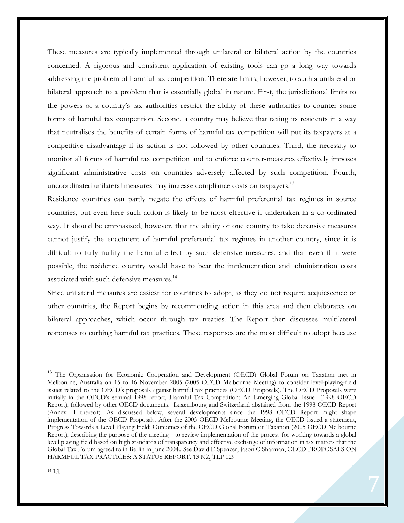These measures are typically implemented through unilateral or bilateral action by the countries concerned. A rigorous and consistent application of existing tools can go a long way towards addressing the problem of harmful tax competition. There are limits, however, to such a unilateral or bilateral approach to a problem that is essentially global in nature. First, the jurisdictional limits to the powers of a country's tax authorities restrict the ability of these authorities to counter some forms of harmful tax competition. Second, a country may believe that taxing its residents in a way that neutralises the benefits of certain forms of harmful tax competition will put its taxpayers at a competitive disadvantage if its action is not followed by other countries. Third, the necessity to monitor all forms of harmful tax competition and to enforce counter-measures effectively imposes significant administrative costs on countries adversely affected by such competition. Fourth, uncoordinated unilateral measures may increase compliance costs on taxpayers.<sup>13</sup>

Residence countries can partly negate the effects of harmful preferential tax regimes in source countries, but even here such action is likely to be most effective if undertaken in a co-ordinated way. It should be emphasised, however, that the ability of one country to take defensive measures cannot justify the enactment of harmful preferential tax regimes in another country, since it is difficult to fully nullify the harmful effect by such defensive measures, and that even if it were possible, the residence country would have to bear the implementation and administration costs associated with such defensive measures.<sup>14</sup>

Since unilateral measures are easiest for countries to adopt, as they do not require acquiescence of other countries, the Report begins by recommending action in this area and then elaborates on bilateral approaches, which occur through tax treaties. The Report then discusses multilateral responses to curbing harmful tax practices. These responses are the most difficult to adopt because

<sup>&</sup>lt;sup>13</sup> The Organisation for Economic Cooperation and Development (OECD) Global Forum on Taxation met in Melbourne, Australia on 15 to 16 November 2005 (2005 OECD Melbourne Meeting) to consider level-playing-field issues related to the OECD's proposals against harmful tax practices (OECD Proposals). The OECD Proposals were initially in the OECD's seminal 1998 report, Harmful Tax Competition: An Emerging Global Issue (1998 OECD Report), followed by other OECD documents. Luxembourg and Switzerland abstained from the 1998 OECD Report (Annex II thereof). As discussed below, several developments since the 1998 OECD Report might shape implementation of the OECD Proposals. After the 2005 OECD Melbourne Meeting, the OECD issued a statement, Progress Towards a Level Playing Field: Outcomes of the OECD Global Forum on Taxation (2005 OECD Melbourne Report), describing the purpose of the meeting-- to review implementation of the process for working towards a global level playing field based on high standards of transparency and effective exchange of information in tax matters that the Global Tax Forum agreed to in Berlin in June 2004.. See David E Spencer, Jason C Sharman, OECD PROPOSALS ON HARMFUL TAX PRACTICES: A STATUS REPORT, 13 NZJTLP 129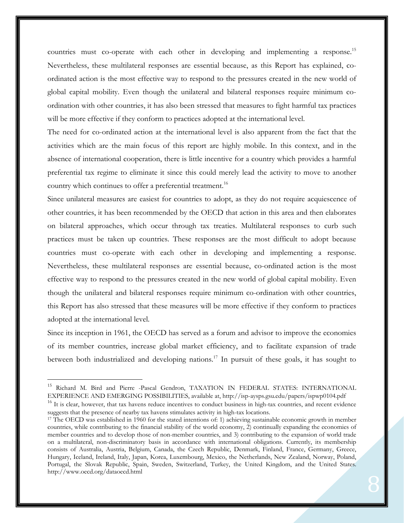countries must co-operate with each other in developing and implementing a response.<sup>15</sup> Nevertheless, these multilateral responses are essential because, as this Report has explained, coordinated action is the most effective way to respond to the pressures created in the new world of global capital mobility. Even though the unilateral and bilateral responses require minimum coordination with other countries, it has also been stressed that measures to fight harmful tax practices will be more effective if they conform to practices adopted at the international level.

The need for co-ordinated action at the international level is also apparent from the fact that the activities which are the main focus of this report are highly mobile. In this context, and in the absence of international cooperation, there is little incentive for a country which provides a harmful preferential tax regime to eliminate it since this could merely lead the activity to move to another country which continues to offer a preferential treatment.<sup>16</sup>

Since unilateral measures are easiest for countries to adopt, as they do not require acquiescence of other countries, it has been recommended by the OECD that action in this area and then elaborates on bilateral approaches, which occur through tax treaties. Multilateral responses to curb such practices must be taken up countries. These responses are the most difficult to adopt because countries must co-operate with each other in developing and implementing a response. Nevertheless, these multilateral responses are essential because, co-ordinated action is the most effective way to respond to the pressures created in the new world of global capital mobility. Even though the unilateral and bilateral responses require minimum co-ordination with other countries, this Report has also stressed that these measures will be more effective if they conform to practices adopted at the international level.

Since its inception in 1961, the OECD has served as a forum and advisor to improve the economies of its member countries, increase global market efficiency, and to facilitate expansion of trade between both industrialized and developing nations.<sup>17</sup> In pursuit of these goals, it has sought to

<sup>&</sup>lt;sup>15</sup> Richard M. Bird and Pierre -Pascal Gendron, TAXATION IN FEDERAL STATES: INTERNATIONAL EXPERIENCE AND EMERGING POSSIBILITIES, available at, http://isp-aysps.gsu.edu/papers/ispwp0104.pdf

 $16$  It is clear, however, that tax havens reduce incentives to conduct business in high-tax countries, and recent evidence suggests that the presence of nearby tax havens stimulates activity in high-tax locations.

<sup>&</sup>lt;sup>17</sup> The OECD was established in 1960 for the stated intentions of: 1) achieving sustainable economic growth in member countries, while contributing to the financial stability of the world economy, 2) continually expanding the economies of member countries and to develop those of non-member countries, and 3) contributing to the expansion of world trade on a multilateral, non-discriminatory basis in accordance with international obligations. Currently, its membership consists of Australia, Austria, Belgium, Canada, the Czech Republic, Denmark, Finland, France, Germany, Greece, Hungary, Iceland, Ireland, Italy, Japan, Korea, Luxembourg, Mexico, the Netherlands, New Zealand, Norway, Poland, Portugal, the Slovak Republic, Spain, Sweden, Switzerland, Turkey, the United Kingdom, and the United States. http://www.oecd.org/dataoecd.html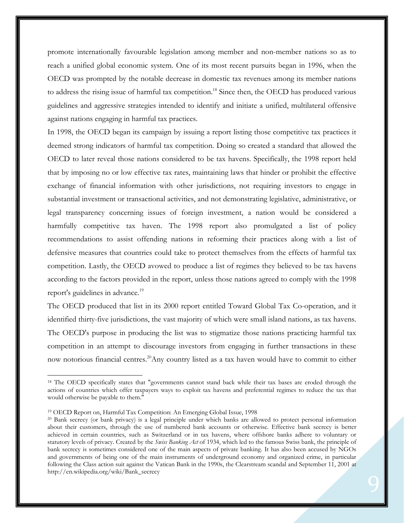promote internationally favourable legislation among member and non-member nations so as to reach a unified global economic system. One of its most recent pursuits began in 1996, when the OECD was prompted by the notable decrease in domestic tax revenues among its member nations to address the rising issue of harmful tax competition.<sup>18</sup> Since then, the OECD has produced various guidelines and aggressive strategies intended to identify and initiate a unified, multilateral offensive against nations engaging in harmful tax practices.

In 1998, the OECD began its campaign by issuing a report listing those competitive tax practices it deemed strong indicators of harmful tax competition. Doing so created a standard that allowed the OECD to later reveal those nations considered to be tax havens. Specifically, the 1998 report held that by imposing no or low effective tax rates, maintaining laws that hinder or prohibit the effective exchange of financial information with other jurisdictions, not requiring investors to engage in substantial investment or transactional activities, and not demonstrating legislative, administrative, or legal transparency concerning issues of foreign investment, a nation would be considered a harmfully competitive tax haven. The 1998 report also promulgated a list of policy recommendations to assist offending nations in reforming their practices along with a list of defensive measures that countries could take to protect themselves from the effects of harmful tax competition. Lastly, the OECD avowed to produce a list of regimes they believed to be tax havens according to the factors provided in the report, unless those nations agreed to comply with the 1998 report's guidelines in advance.<sup>19</sup>

The OECD produced that list in its 2000 report entitled Toward Global Tax Co-operation, and it identified thirty-five jurisdictions, the vast majority of which were small island nations, as tax havens. The OECD's purpose in producing the list was to stigmatize those nations practicing harmful tax competition in an attempt to discourage investors from engaging in further transactions in these now notorious financial centres.<sup>20</sup>Any country listed as a tax haven would have to commit to either

<sup>&</sup>lt;sup>18</sup> The OECD specifically states that "governments cannot stand back while their tax bases are eroded through the actions of countries which offer taxpayers ways to exploit tax havens and preferential regimes to reduce the tax that would otherwise be payable to them."

<sup>&</sup>lt;sup>19</sup> OECD Report on, Harmful Tax Competition: An Emerging Global Issue, 1998<br><sup>20</sup> Bank secrecy (or bank privacy) is a legal principle under which banks are allowed to protect personal information about their customers, through the use of numbered bank accounts or otherwise. Effective bank secrecy is better achieved in certain countries, such as Switzerland or in tax havens, where offshore banks adhere to voluntary or statutory levels of privacy. Created by the *Swiss Banking Act* of 1934, which led to the famous Swiss bank, the principle of bank secrecy is sometimes considered one of the main aspects of private banking. It has also been accused by NGOs and governments of being one of the main instruments of underground economy and organized crime, in particular following the Class action suit against the Vatican Bank in the 1990s, the Clearstream scandal and September 11, 2001 at http://en.wikipedia.org/wiki/Bank\_secrecy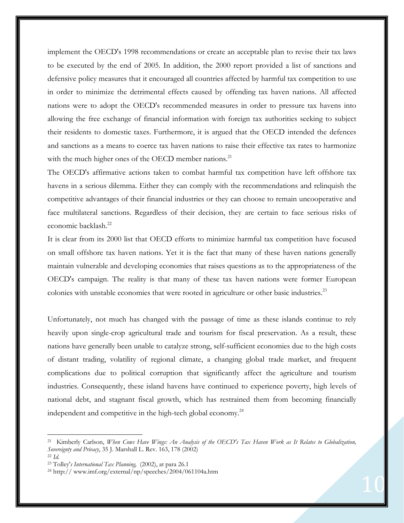implement the OECD's 1998 recommendations or create an acceptable plan to revise their tax laws to be executed by the end of 2005. In addition, the 2000 report provided a list of sanctions and defensive policy measures that it encouraged all countries affected by harmful tax competition to use in order to minimize the detrimental effects caused by offending tax haven nations. All affected nations were to adopt the OECD's recommended measures in order to pressure tax havens into allowing the free exchange of financial information with foreign tax authorities seeking to subject their residents to domestic taxes. Furthermore, it is argued that the OECD intended the defences and sanctions as a means to coerce tax haven nations to raise their effective tax rates to harmonize with the much higher ones of the OECD member nations.<sup>21</sup>

The OECD's affirmative actions taken to combat harmful tax competition have left offshore tax havens in a serious dilemma. Either they can comply with the recommendations and relinquish the competitive advantages of their financial industries or they can choose to remain uncooperative and face multilateral sanctions. Regardless of their decision, they are certain to face serious risks of economic backlash.<sup>22</sup>

It is clear from its 2000 list that OECD efforts to minimize harmful tax competition have focused on small offshore tax haven nations. Yet it is the fact that many of these haven nations generally maintain vulnerable and developing economies that raises questions as to the appropriateness of the OECD's campaign. The reality is that many of these tax haven nations were former European colonies with unstable economies that were rooted in agriculture or other basic industries.<sup>23</sup>

Unfortunately, not much has changed with the passage of time as these islands continue to rely heavily upon single-crop agricultural trade and tourism for fiscal preservation. As a result, these nations have generally been unable to catalyze strong, self-sufficient economies due to the high costs of distant trading, volatility of regional climate, a changing global trade market, and frequent complications due to political corruption that significantly affect the agriculture and tourism industries. Consequently, these island havens have continued to experience poverty, high levels of national debt, and stagnant fiscal growth, which has restrained them from becoming financially independent and competitive in the high-tech global economy.<sup>24</sup>

<sup>21</sup> Kimberly Carlson, *When Cows Have Wings: An Analysis of the OECD's Tax Haven Work as It Relates to Globalization, Sovereignty and Privacy*, 35 J. Marshall L. Rev. 163, 178 (2002) 22 *Id.*

<sup>&</sup>lt;sup>23</sup> Tolley'*s International Tax Planning,* (2002), at para 26.1<br><sup>24</sup> http:// www.imf.org/external/np/speeches/2004/061104a.htm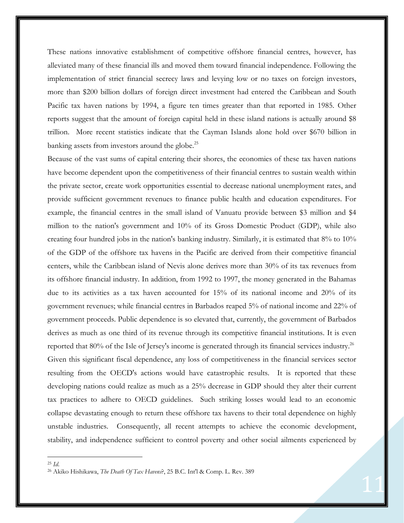These nations innovative establishment of competitive offshore financial centres, however, has alleviated many of these financial ills and moved them toward financial independence. Following the implementation of strict financial secrecy laws and levying low or no taxes on foreign investors, more than \$200 billion dollars of foreign direct investment had entered the Caribbean and South Pacific tax haven nations by 1994, a figure ten times greater than that reported in 1985. Other reports suggest that the amount of foreign capital held in these island nations is actually around \$8 trillion. More recent statistics indicate that the Cayman Islands alone hold over \$670 billion in banking assets from investors around the globe. $^{25}$ 

Because of the vast sums of capital entering their shores, the economies of these tax haven nations have become dependent upon the competitiveness of their financial centres to sustain wealth within the private sector, create work opportunities essential to decrease national unemployment rates, and provide sufficient government revenues to finance public health and education expenditures. For example, the financial centres in the small island of Vanuatu provide between \$3 million and \$4 million to the nation's government and 10% of its Gross Domestic Product (GDP), while also creating four hundred jobs in the nation's banking industry. Similarly, it is estimated that 8% to 10% of the GDP of the offshore tax havens in the Pacific are derived from their competitive financial centers, while the Caribbean island of Nevis alone derives more than 30% of its tax revenues from its offshore financial industry. In addition, from 1992 to 1997, the money generated in the Bahamas due to its activities as a tax haven accounted for 15% of its national income and 20% of its government revenues; while financial centres in Barbados reaped 5% of national income and 22% of government proceeds. Public dependence is so elevated that, currently, the government of Barbados derives as much as one third of its revenue through its competitive financial institutions. It is even reported that 80% of the Isle of Jersey's income is generated through its financial services industry.26 Given this significant fiscal dependence, any loss of competitiveness in the financial services sector resulting from the OECD's actions would have catastrophic results. It is reported that these developing nations could realize as much as a 25% decrease in GDP should they alter their current tax practices to adhere to OECD guidelines. Such striking losses would lead to an economic collapse devastating enough to return these offshore tax havens to their total dependence on highly unstable industries. Consequently, all recent attempts to achieve the economic development, stability, and independence sufficient to control poverty and other social ailments experienced by

11

<sup>25</sup> *Id*. 26 Akiko Hishikawa, *The Death Of Tax Havens*?, 25 B.C. Int'l & Comp. L. Rev. 389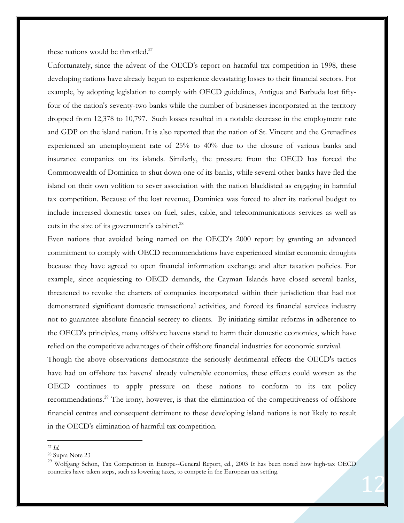these nations would be throttled.<sup>27</sup>

Unfortunately, since the advent of the OECD's report on harmful tax competition in 1998, these developing nations have already begun to experience devastating losses to their financial sectors. For example, by adopting legislation to comply with OECD guidelines, Antigua and Barbuda lost fiftyfour of the nation's seventy-two banks while the number of businesses incorporated in the territory dropped from 12,378 to 10,797. Such losses resulted in a notable decrease in the employment rate and GDP on the island nation. It is also reported that the nation of St. Vincent and the Grenadines experienced an unemployment rate of 25% to 40% due to the closure of various banks and insurance companies on its islands. Similarly, the pressure from the OECD has forced the Commonwealth of Dominica to shut down one of its banks, while several other banks have fled the island on their own volition to sever association with the nation blacklisted as engaging in harmful tax competition. Because of the lost revenue, Dominica was forced to alter its national budget to include increased domestic taxes on fuel, sales, cable, and telecommunications services as well as cuts in the size of its government's cabinet. $^{28}$ 

Even nations that avoided being named on the OECD's 2000 report by granting an advanced commitment to comply with OECD recommendations have experienced similar economic droughts because they have agreed to open financial information exchange and alter taxation policies. For example, since acquiescing to OECD demands, the Cayman Islands have closed several banks, threatened to revoke the charters of companies incorporated within their jurisdiction that had not demonstrated significant domestic transactional activities, and forced its financial services industry not to guarantee absolute financial secrecy to clients. By initiating similar reforms in adherence to the OECD's principles, many offshore havens stand to harm their domestic economies, which have relied on the competitive advantages of their offshore financial industries for economic survival.

Though the above observations demonstrate the seriously detrimental effects the OECD's tactics have had on offshore tax havens' already vulnerable economies, these effects could worsen as the OECD continues to apply pressure on these nations to conform to its tax policy recommendations.<sup>29</sup> The irony, however, is that the elimination of the competitiveness of offshore financial centres and consequent detriment to these developing island nations is not likely to result in the OECD's elimination of harmful tax competition.

<sup>1</sup> 

<sup>27</sup> *Id.* 28 Supra Note 23

<sup>&</sup>lt;sup>29</sup> Wolfgang Schön, Tax Competition in Europe--General Report, ed., 2003 It has been noted how high-tax OECD countries have taken steps, such as lowering taxes, to compete in the European tax setting.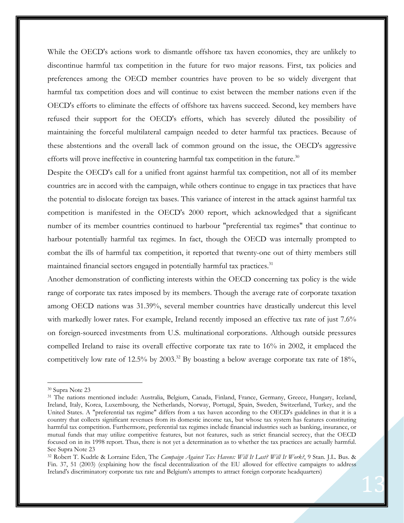While the OECD's actions work to dismantle offshore tax haven economies, they are unlikely to discontinue harmful tax competition in the future for two major reasons. First, tax policies and preferences among the OECD member countries have proven to be so widely divergent that harmful tax competition does and will continue to exist between the member nations even if the OECD's efforts to eliminate the effects of offshore tax havens succeed. Second, key members have refused their support for the OECD's efforts, which has severely diluted the possibility of maintaining the forceful multilateral campaign needed to deter harmful tax practices. Because of these abstentions and the overall lack of common ground on the issue, the OECD's aggressive efforts will prove ineffective in countering harmful tax competition in the future. $30$ 

Despite the OECD's call for a unified front against harmful tax competition, not all of its member countries are in accord with the campaign, while others continue to engage in tax practices that have the potential to dislocate foreign tax bases. This variance of interest in the attack against harmful tax competition is manifested in the OECD's 2000 report, which acknowledged that a significant number of its member countries continued to harbour "preferential tax regimes" that continue to harbour potentially harmful tax regimes. In fact, though the OECD was internally prompted to combat the ills of harmful tax competition, it reported that twenty-one out of thirty members still maintained financial sectors engaged in potentially harmful tax practices.<sup>31</sup>

Another demonstration of conflicting interests within the OECD concerning tax policy is the wide range of corporate tax rates imposed by its members. Though the average rate of corporate taxation among OECD nations was 31.39%, several member countries have drastically undercut this level with markedly lower rates. For example, Ireland recently imposed an effective tax rate of just 7.6% on foreign-sourced investments from U.S. multinational corporations. Although outside pressures compelled Ireland to raise its overall effective corporate tax rate to 16% in 2002, it emplaced the competitively low rate of 12.5% by 2003.<sup>32</sup> By boasting a below average corporate tax rate of 18%,

<sup>30</sup> Supra Note 23

<sup>31</sup> The nations mentioned include: Australia, Belgium, Canada, Finland, France, Germany, Greece, Hungary, Iceland, Ireland, Italy, Korea, Luxembourg, the Netherlands, Norway, Portugal, Spain, Sweden, Switzerland, Turkey, and the United States. A "preferential tax regime" differs from a tax haven according to the OECD's guidelines in that it is a country that collects significant revenues from its domestic income tax, but whose tax system has features constituting harmful tax competition. Furthermore, preferential tax regimes include financial industries such as banking, insurance, or mutual funds that may utilize competitive features, but not features, such as strict financial secrecy, that the OECD focused on in its 1998 report. Thus, there is not yet a determination as to whether the tax practices are actually harmful. See Supra Note 23

<sup>32</sup> Robert T. Kudrle & Lorraine Eden, The *Campaign Against Tax Havens: Will It Last? Will It Work?*, 9 Stan. J.L. Bus. & Fin. 37, 51 (2003) (explaining how the fiscal decentralization of the EU allowed for effective campaigns to address Ireland's discriminatory corporate tax rate and Belgium's attempts to attract foreign corporate headquarters)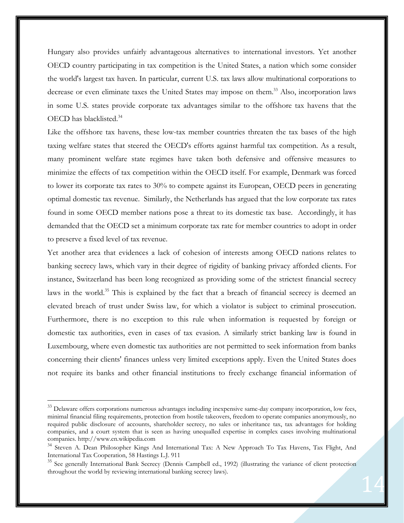Hungary also provides unfairly advantageous alternatives to international investors. Yet another OECD country participating in tax competition is the United States, a nation which some consider the world's largest tax haven. In particular, current U.S. tax laws allow multinational corporations to decrease or even eliminate taxes the United States may impose on them.<sup>33</sup> Also, incorporation laws in some U.S. states provide corporate tax advantages similar to the offshore tax havens that the OECD has blacklisted.<sup>34</sup>

Like the offshore tax havens, these low-tax member countries threaten the tax bases of the high taxing welfare states that steered the OECD's efforts against harmful tax competition. As a result, many prominent welfare state regimes have taken both defensive and offensive measures to minimize the effects of tax competition within the OECD itself. For example, Denmark was forced to lower its corporate tax rates to 30% to compete against its European, OECD peers in generating optimal domestic tax revenue. Similarly, the Netherlands has argued that the low corporate tax rates found in some OECD member nations pose a threat to its domestic tax base. Accordingly, it has demanded that the OECD set a minimum corporate tax rate for member countries to adopt in order to preserve a fixed level of tax revenue.

Yet another area that evidences a lack of cohesion of interests among OECD nations relates to banking secrecy laws, which vary in their degree of rigidity of banking privacy afforded clients. For instance, Switzerland has been long recognized as providing some of the strictest financial secrecy laws in the world.<sup>35</sup> This is explained by the fact that a breach of financial secrecy is deemed an elevated breach of trust under Swiss law, for which a violator is subject to criminal prosecution. Furthermore, there is no exception to this rule when information is requested by foreign or domestic tax authorities, even in cases of tax evasion. A similarly strict banking law is found in Luxembourg, where even domestic tax authorities are not permitted to seek information from banks concerning their clients' finances unless very limited exceptions apply. Even the United States does not require its banks and other financial institutions to freely exchange financial information of

<sup>&</sup>lt;sup>33</sup> Delaware offers corporations numerous advantages including inexpensive same-day company incorporation, low fees, minimal financial filing requirements, protection from hostile takeovers, freedom to operate companies anonymously, no required public disclosure of accounts, shareholder secrecy, no sales or inheritance tax, tax advantages for holding companies, and a court system that is seen as having unequalled expertise in complex cases involving multinational companies. http://www.en.wikipedia.com

<sup>&</sup>lt;sup>34</sup> Steven A. Dean Philosopher Kings And International Tax: A New Approach To Tax Havens, Tax Flight, And International Tax Cooperation, 58 Hastings L.J. 911

<sup>&</sup>lt;sup>35</sup> See generally International Bank Secrecy (Dennis Campbell ed., 1992) (illustrating the variance of client protection throughout the world by reviewing international banking secrecy laws).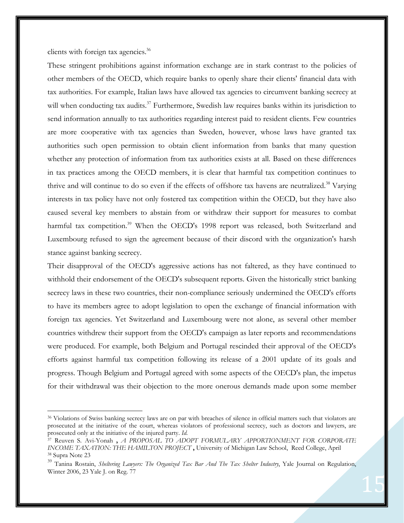clients with foreign tax agencies.<sup>36</sup>

1

These stringent prohibitions against information exchange are in stark contrast to the policies of other members of the OECD, which require banks to openly share their clients' financial data with tax authorities. For example, Italian laws have allowed tax agencies to circumvent banking secrecy at will when conducting tax audits.<sup>37</sup> Furthermore, Swedish law requires banks within its jurisdiction to send information annually to tax authorities regarding interest paid to resident clients. Few countries are more cooperative with tax agencies than Sweden, however, whose laws have granted tax authorities such open permission to obtain client information from banks that many question whether any protection of information from tax authorities exists at all. Based on these differences in tax practices among the OECD members, it is clear that harmful tax competition continues to thrive and will continue to do so even if the effects of offshore tax havens are neutralized.<sup>38</sup> Varying interests in tax policy have not only fostered tax competition within the OECD, but they have also caused several key members to abstain from or withdraw their support for measures to combat harmful tax competition.<sup>39</sup> When the OECD's 1998 report was released, both Switzerland and Luxembourg refused to sign the agreement because of their discord with the organization's harsh stance against banking secrecy.

Their disapproval of the OECD's aggressive actions has not faltered, as they have continued to withhold their endorsement of the OECD's subsequent reports. Given the historically strict banking secrecy laws in these two countries, their non-compliance seriously undermined the OECD's efforts to have its members agree to adopt legislation to open the exchange of financial information with foreign tax agencies. Yet Switzerland and Luxembourg were not alone, as several other member countries withdrew their support from the OECD's campaign as later reports and recommendations were produced. For example, both Belgium and Portugal rescinded their approval of the OECD's efforts against harmful tax competition following its release of a 2001 update of its goals and progress. Though Belgium and Portugal agreed with some aspects of the OECD's plan, the impetus for their withdrawal was their objection to the more onerous demands made upon some member

<sup>36</sup> Violations of Swiss banking secrecy laws are on par with breaches of silence in official matters such that violators are prosecuted at the initiative of the court, whereas violators of professional secrecy, such as doctors and lawyers, are prosecuted only at the initiative of the injured party. Id.

prosecuted only at the initiative of the injured party. *Id*. 37 Reuven S. Avi-Yonah **,** *A PROPOSAL TO ADOPT FORMULARY APPORTIONMENT FOR CORPORATE INCOME TAXATION: THE HAMILTON PROJECT*, University of Michigan Law School, Reed College, April <sup>38</sup> Supra Note 23

<sup>&</sup>lt;sup>39</sup> Tanina Rostain, Sheltering Lawyers: The Organized Tax Bar And The Tax Shelter Industry, Yale Journal on Regulation, Winter 2006, 23 Yale J. on Reg. 77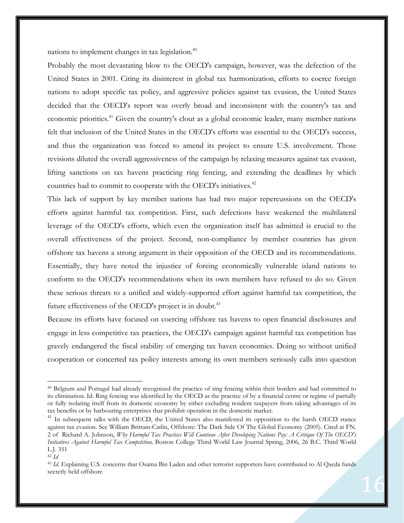nations to implement changes in tax legislation.<sup>40</sup>

Probably the most devastating blow to the OECD's campaign, however, was the defection of the United States in 2001. Citing its disinterest in global tax harmonization, efforts to coerce foreign nations to adopt specific tax policy, and aggressive policies against tax evasion, the United States decided that the OECD's report was overly broad and inconsistent with the country's tax and economic priorities.<sup>41</sup> Given the country's clout as a global economic leader, many member nations felt that inclusion of the United States in the OECD's efforts was essential to the OECD's success, and thus the organization was forced to amend its project to ensure U.S. involvement. Those revisions diluted the overall aggressiveness of the campaign by relaxing measures against tax evasion, lifting sanctions on tax havens practicing ring fencing, and extending the deadlines by which countries had to commit to cooperate with the OECD's initiatives.<sup>42</sup>

This lack of support by key member nations has had two major repercussions on the OECD's efforts against harmful tax competition. First, such defections have weakened the multilateral leverage of the OECD's efforts, which even the organization itself has admitted is crucial to the overall effectiveness of the project. Second, non-compliance by member countries has given offshore tax havens a strong argument in their opposition of the OECD and its recommendations. Essentially, they have noted the injustice of forcing economically vulnerable island nations to conform to the OECD's recommendations when its own members have refused to do so. Given these serious threats to a unified and widely-supported effort against harmful tax competition, the future effectiveness of the OECD's project is in doubt.<sup>43</sup>

Because its efforts have focused on coercing offshore tax havens to open financial disclosures and engage in less competitive tax practices, the OECD's campaign against harmful tax competition has gravely endangered the fiscal stability of emerging tax haven economies. Doing so without unified cooperation or concerted tax policy interests among its own members seriously calls into question

<sup>40</sup> Belgium and Portugal had already recognized the practice of ring fencing within their borders and had committed to its elimination. Id. Ring fencing was identified by the OECD as the practice of by a financial centre or regime of partially or fully isolating itself from its domestic economy by either excluding resident taxpayers from taking advantages of its tax benefits or by harbouring enterprises that prohibit operation in the domestic market.

<sup>&</sup>lt;sup>41</sup> In subsequent talks with the OECD, the United States also manifested its opposition to the harsh OECD stance against tax evasion. See William Brittain-Catlin, Offshore: The Dark Side Of The Global Economy (2005). Cited at FN. 2 of Richard A. Johnson, *Why Harmful Tax Practices Will Continue After Developing Nations Pay: A Critique Of The OECD's Initiatives Against Harmful Tax Competition,* Boston College Third World Law Journal Spring, 2006, 26 B.C. Third World L.J. 351

<sup>42</sup> *Id*

<sup>&</sup>lt;sup>43</sup> *Id.* Explaining U.S. concerns that Osama Bin Laden and other terrorist supporters have contributed to Al Qaeda funds secretly held offshore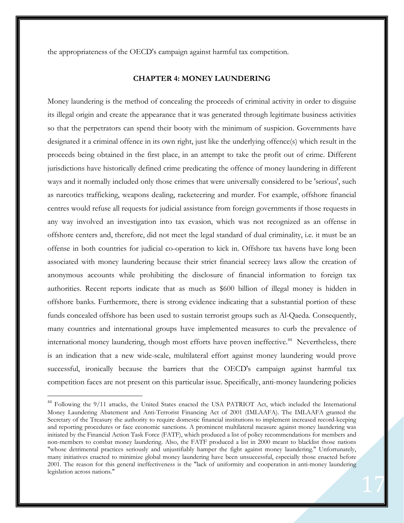the appropriateness of the OECD's campaign against harmful tax competition.

## **CHAPTER 4: MONEY LAUNDERING**

Money laundering is the method of concealing the proceeds of criminal activity in order to disguise its illegal origin and create the appearance that it was generated through legitimate business activities so that the perpetrators can spend their booty with the minimum of suspicion. Governments have designated it a criminal offence in its own right, just like the underlying offence(s) which result in the proceeds being obtained in the first place, in an attempt to take the profit out of crime. Different jurisdictions have historically defined crime predicating the offence of money laundering in different ways and it normally included only those crimes that were universally considered to be 'serious', such as narcotics trafficking, weapons dealing, racketeering and murder. For example, offshore financial centres would refuse all requests for judicial assistance from foreign governments if those requests in any way involved an investigation into tax evasion, which was not recognized as an offense in offshore centers and, therefore, did not meet the legal standard of dual criminality, i.e. it must be an offense in both countries for judicial co-operation to kick in. Offshore tax havens have long been associated with money laundering because their strict financial secrecy laws allow the creation of anonymous accounts while prohibiting the disclosure of financial information to foreign tax authorities. Recent reports indicate that as much as \$600 billion of illegal money is hidden in offshore banks. Furthermore, there is strong evidence indicating that a substantial portion of these funds concealed offshore has been used to sustain terrorist groups such as Al-Qaeda. Consequently, many countries and international groups have implemented measures to curb the prevalence of international money laundering, though most efforts have proven ineffective.<sup>44</sup> Nevertheless, there is an indication that a new wide-scale, multilateral effort against money laundering would prove successful, ironically because the barriers that the OECD's campaign against harmful tax competition faces are not present on this particular issue. Specifically, anti-money laundering policies

<sup>&</sup>lt;sup>44</sup> Following the 9/11 attacks, the United States enacted the USA PATRIOT Act, which included the International Money Laundering Abatement and Anti-Terrorist Financing Act of 2001 (IMLAAFA). The IMLAAFA granted the Secretary of the Treasury the authority to require domestic financial institutions to implement increased record-keeping and reporting procedures or face economic sanctions. A prominent multilateral measure against money laundering was initiated by the Financial Action Task Force (FATF), which produced a list of policy recommendations for members and non-members to combat money laundering. Also, the FATF produced a list in 2000 meant to blacklist those nations "whose detrimental practices seriously and unjustifiably hamper the fight against money laundering." Unfortunately, many initiatives enacted to minimize global money laundering have been unsuccessful, especially those enacted before 2001. The reason for this general ineffectiveness is the "lack of uniformity and cooperation in anti-money laundering legislation across nations."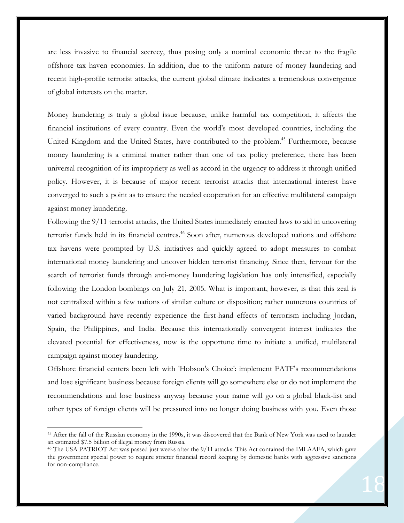are less invasive to financial secrecy, thus posing only a nominal economic threat to the fragile offshore tax haven economies. In addition, due to the uniform nature of money laundering and recent high-profile terrorist attacks, the current global climate indicates a tremendous convergence of global interests on the matter.

Money laundering is truly a global issue because, unlike harmful tax competition, it affects the financial institutions of every country. Even the world's most developed countries, including the United Kingdom and the United States, have contributed to the problem.<sup>45</sup> Furthermore, because money laundering is a criminal matter rather than one of tax policy preference, there has been universal recognition of its impropriety as well as accord in the urgency to address it through unified policy. However, it is because of major recent terrorist attacks that international interest have converged to such a point as to ensure the needed cooperation for an effective multilateral campaign against money laundering.

Following the 9/11 terrorist attacks, the United States immediately enacted laws to aid in uncovering terrorist funds held in its financial centres.<sup>46</sup> Soon after, numerous developed nations and offshore tax havens were prompted by U.S. initiatives and quickly agreed to adopt measures to combat international money laundering and uncover hidden terrorist financing. Since then, fervour for the search of terrorist funds through anti-money laundering legislation has only intensified, especially following the London bombings on July 21, 2005. What is important, however, is that this zeal is not centralized within a few nations of similar culture or disposition; rather numerous countries of varied background have recently experience the first-hand effects of terrorism including Jordan, Spain, the Philippines, and India. Because this internationally convergent interest indicates the elevated potential for effectiveness, now is the opportune time to initiate a unified, multilateral campaign against money laundering.

Offshore financial centers been left with 'Hobson's Choice': implement FATF's recommendations and lose significant business because foreign clients will go somewhere else or do not implement the recommendations and lose business anyway because your name will go on a global black-list and other types of foreign clients will be pressured into no longer doing business with you. Even those

<sup>45</sup> After the fall of the Russian economy in the 1990s, it was discovered that the Bank of New York was used to launder an estimated \$7.5 billion of illegal money from Russia.<br><sup>46</sup> The USA PATRIOT Act was passed just weeks after the 9/11 attacks. This Act contained the IMLAAFA, which gave

the government special power to require stricter financial record keeping by domestic banks with aggressive sanctions for non-compliance.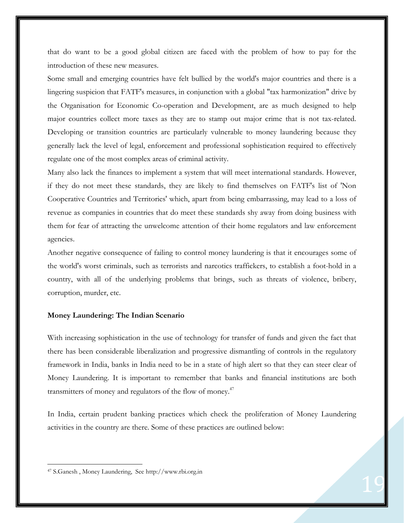that do want to be a good global citizen are faced with the problem of how to pay for the introduction of these new measures.

Some small and emerging countries have felt bullied by the world's major countries and there is a lingering suspicion that FATF's measures, in conjunction with a global "tax harmonization" drive by the Organisation for Economic Co-operation and Development, are as much designed to help major countries collect more taxes as they are to stamp out major crime that is not tax-related. Developing or transition countries are particularly vulnerable to money laundering because they generally lack the level of legal, enforcement and professional sophistication required to effectively regulate one of the most complex areas of criminal activity.

Many also lack the finances to implement a system that will meet international standards. However, if they do not meet these standards, they are likely to find themselves on FATF's list of 'Non Cooperative Countries and Territories' which, apart from being embarrassing, may lead to a loss of revenue as companies in countries that do meet these standards shy away from doing business with them for fear of attracting the unwelcome attention of their home regulators and law enforcement agencies.

Another negative consequence of failing to control money laundering is that it encourages some of the world's worst criminals, such as terrorists and narcotics traffickers, to establish a foot-hold in a country, with all of the underlying problems that brings, such as threats of violence, bribery, corruption, murder, etc.

## **Money Laundering: The Indian Scenario**

With increasing sophistication in the use of technology for transfer of funds and given the fact that there has been considerable liberalization and progressive dismantling of controls in the regulatory framework in India, banks in India need to be in a state of high alert so that they can steer clear of Money Laundering. It is important to remember that banks and financial institutions are both transmitters of money and regulators of the flow of money.<sup>47</sup>

In India, certain prudent banking practices which check the proliferation of Money Laundering activities in the country are there. Some of these practices are outlined below:

<sup>47</sup> S.Ganesh , Money Laundering, See http://www.rbi.org.in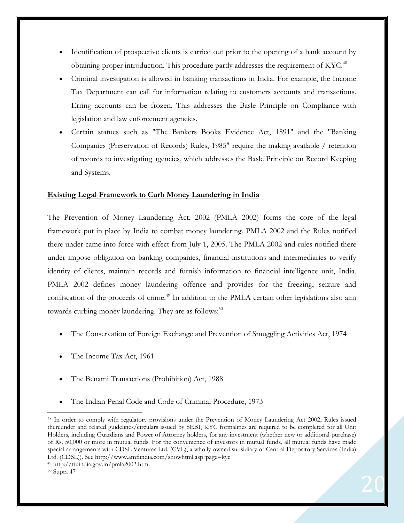- Identification of prospective clients is carried out prior to the opening of a bank account by obtaining proper introduction. This procedure partly addresses the requirement of KYC.<sup>48</sup>
- Criminal investigation is allowed in banking transactions in India. For example, the Income Tax Department can call for information relating to customers accounts and transactions. Erring accounts can be frozen. This addresses the Basle Principle on Compliance with legislation and law enforcement agencies.
- Certain statues such as "The Bankers Books Evidence Act, 1891" and the "Banking Companies (Preservation of Records) Rules, 1985" require the making available / retention of records to investigating agencies, which addresses the Basle Principle on Record Keeping and Systems.

# **Existing Legal Framework to Curb Money Laundering in India**

The Prevention of Money Laundering Act, 2002 (PMLA 2002) forms the core of the legal framework put in place by India to combat money laundering. PMLA 2002 and the Rules notified there under came into force with effect from July 1, 2005. The PMLA 2002 and rules notified there under impose obligation on banking companies, financial institutions and intermediaries to verify identity of clients, maintain records and furnish information to financial intelligence unit, India. PMLA 2002 defines money laundering offence and provides for the freezing, seizure and confiscation of the proceeds of crime.<sup>49</sup> In addition to the PMLA certain other legislations also aim towards curbing money laundering. They are as follows: $50$ 

- The Conservation of Foreign Exchange and Prevention of Smuggling Activities Act, 1974
- The Income Tax Act, 1961
- The Benami Transactions (Prohibition) Act, 1988
- The Indian Penal Code and Code of Criminal Procedure, 1973

<sup>48</sup> In order to comply with regulatory provisions under the Prevention of Money Laundering Act 2002, Rules issued thereunder and related guidelines/circulars issued by SEBI, KYC formalities are required to be completed for all Unit Holders, including Guardians and Power of Attorney holders, for any investment (whether new or additional purchase) of Rs. 50,000 or more in mutual funds. For the convenience of investors in mutual funds, all mutual funds have made special arrangements with CDSL Ventures Ltd. (CVL), a wholly owned subsidiary of Central Depository Services (India) Ltd. (CDSL)). See http://www.amfiindia.com/showhtml.asp?page=kyc 49 http://fiuindia.gov.in/pmla2002.htm

<sup>50</sup> Supra 47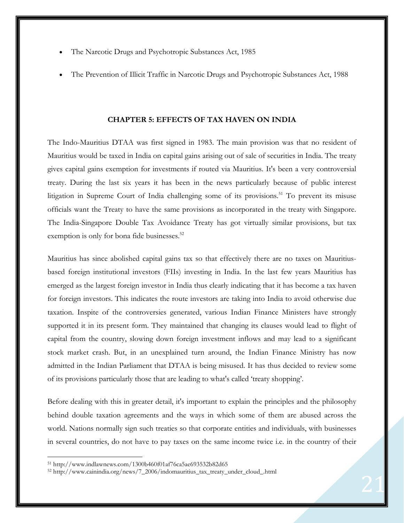- The Narcotic Drugs and Psychotropic Substances Act, 1985
- The Prevention of Illicit Traffic in Narcotic Drugs and Psychotropic Substances Act, 1988

# **CHAPTER 5: EFFECTS OF TAX HAVEN ON INDIA**

The Indo-Mauritius DTAA was first signed in 1983. The main provision was that no resident of Mauritius would be taxed in India on capital gains arising out of sale of securities in India. The treaty gives capital gains exemption for investments if routed via Mauritius. It's been a very controversial treaty. During the last six years it has been in the news particularly because of public interest litigation in Supreme Court of India challenging some of its provisions.<sup>51</sup> To prevent its misuse officials want the Treaty to have the same provisions as incorporated in the treaty with Singapore. The India-Singapore Double Tax Avoidance Treaty has got virtually similar provisions, but tax exemption is only for bona fide businesses.<sup>52</sup>

Mauritius has since abolished capital gains tax so that effectively there are no taxes on Mauritiusbased foreign institutional investors (FIIs) investing in India. In the last few years Mauritius has emerged as the largest foreign investor in India thus clearly indicating that it has become a tax haven for foreign investors. This indicates the route investors are taking into India to avoid otherwise due taxation. Inspite of the controversies generated, various Indian Finance Ministers have strongly supported it in its present form. They maintained that changing its clauses would lead to flight of capital from the country, slowing down foreign investment inflows and may lead to a significant stock market crash. But, in an unexplained turn around, the Indian Finance Ministry has now admitted in the Indian Parliament that DTAA is being misused. It has thus decided to review some of its provisions particularly those that are leading to what's called 'treaty shopping'.

Before dealing with this in greater detail, it's important to explain the principles and the philosophy behind double taxation agreements and the ways in which some of them are abused across the world. Nations normally sign such treaties so that corporate entities and individuals, with businesses in several countries, do not have to pay taxes on the same income twice i.e. in the country of their

<sup>51</sup> http://www.indlawnews.com/1300b460f01af76ca5ae693532b82d65 52 http://www.cainindia.org/news/7\_2006/indomauritius\_tax\_treaty\_under\_cloud\_.html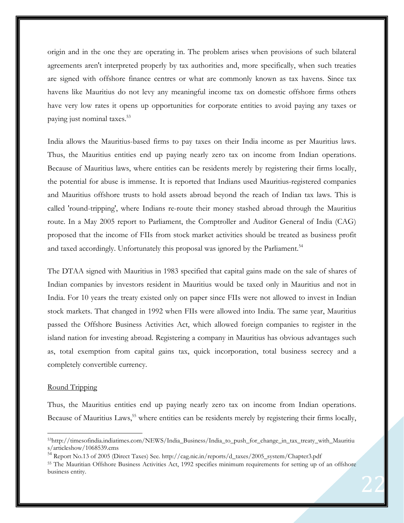origin and in the one they are operating in. The problem arises when provisions of such bilateral agreements aren't interpreted properly by tax authorities and, more specifically, when such treaties are signed with offshore finance centres or what are commonly known as tax havens. Since tax havens like Mauritius do not levy any meaningful income tax on domestic offshore firms others have very low rates it opens up opportunities for corporate entities to avoid paying any taxes or paying just nominal taxes.<sup>53</sup>

India allows the Mauritius-based firms to pay taxes on their India income as per Mauritius laws. Thus, the Mauritius entities end up paying nearly zero tax on income from Indian operations. Because of Mauritius laws, where entities can be residents merely by registering their firms locally, the potential for abuse is immense. It is reported that Indians used Mauritius-registered companies and Mauritius offshore trusts to hold assets abroad beyond the reach of Indian tax laws. This is called 'round-tripping', where Indians re-route their money stashed abroad through the Mauritius route. In a May 2005 report to Parliament, the Comptroller and Auditor General of India (CAG) proposed that the income of FIIs from stock market activities should be treated as business profit and taxed accordingly. Unfortunately this proposal was ignored by the Parliament.<sup>54</sup>

The DTAA signed with Mauritius in 1983 specified that capital gains made on the sale of shares of Indian companies by investors resident in Mauritius would be taxed only in Mauritius and not in India. For 10 years the treaty existed only on paper since FIIs were not allowed to invest in Indian stock markets. That changed in 1992 when FIIs were allowed into India. The same year, Mauritius passed the Offshore Business Activities Act, which allowed foreign companies to register in the island nation for investing abroad. Registering a company in Mauritius has obvious advantages such as, total exemption from capital gains tax, quick incorporation, total business secrecy and a completely convertible currency.

#### Round Tripping

 $\overline{a}$ 

Thus, the Mauritius entities end up paying nearly zero tax on income from Indian operations. Because of Mauritius Laws,<sup>55</sup> where entities can be residents merely by registering their firms locally,

<sup>53</sup>http://timesofindia.indiatimes.com/NEWS/India\_Business/India\_to\_push\_for\_change\_in\_tax\_treaty\_with\_Mauritiu s/articleshow/1068539.cms

<sup>&</sup>lt;sup>54</sup> Report No.13 of 2005 (Direct Taxes) See. http://cag.nic.in/reports/d\_taxes/2005\_system/Chapter3.pdf<br><sup>55</sup> The Mauritian Offshore Business Activities Act, 1992 specifies minimum requirements for setting up of an offshor business entity.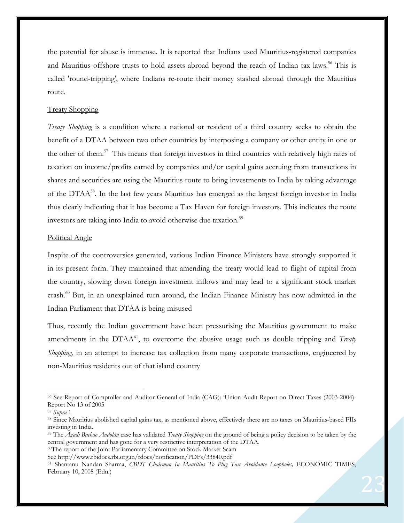the potential for abuse is immense. It is reported that Indians used Mauritius-registered companies and Mauritius offshore trusts to hold assets abroad beyond the reach of Indian tax laws.<sup>56</sup> This is called 'round-tripping', where Indians re-route their money stashed abroad through the Mauritius route.

## Treaty Shopping

*Treaty Shopping* is a condition where a national or resident of a third country seeks to obtain the benefit of a DTAA between two other countries by interposing a company or other entity in one or the other of them.57 This means that foreign investors in third countries with relatively high rates of taxation on income/profits earned by companies and/or capital gains accruing from transactions in shares and securities are using the Mauritius route to bring investments to India by taking advantage of the DTAA<sup>58</sup>. In the last few years Mauritius has emerged as the largest foreign investor in India thus clearly indicating that it has become a Tax Haven for foreign investors. This indicates the route investors are taking into India to avoid otherwise due taxation.59

## Political Angle

Inspite of the controversies generated, various Indian Finance Ministers have strongly supported it in its present form. They maintained that amending the treaty would lead to flight of capital from the country, slowing down foreign investment inflows and may lead to a significant stock market crash.60 But, in an unexplained turn around, the Indian Finance Ministry has now admitted in the Indian Parliament that DTAA is being misused

Thus, recently the Indian government have been pressurising the Mauritius government to make amendments in the DTAA<sup>61</sup>, to overcome the abusive usage such as double tripping and *Treaty Shopping*, in an attempt to increase tax collection from many corporate transactions, engineered by non-Mauritius residents out of that island country

<sup>56</sup> See Report of Comptoller and Auditor General of India (CAG): 'Union Audit Report on Direct Taxes (2003-2004)- Report No 13 of 2005

<sup>&</sup>lt;sup>57</sup> *Supra* 1<br><sup>58</sup> Since Mauritius abolished capital gains tax, as mentioned above, effectively there are no taxes on Mauritius-based FIIs investing in India.

<sup>59</sup> The *Azadi Bachao Andolan* case has validated *Treaty Shopping* on the ground of being a policy decision to be taken by the central government and has gone for a very restrictive interpretation of the DTAA. <sup>60</sup>The report of the Joint Parliamentary Committee on Stock Market Scam See http://www.rbidocs.rbi.org.in/rdocs/notification/PDFs/33840.pd

<sup>&</sup>lt;sup>61</sup> Shantanu Nandan Sharma, *CBDT Chairman In Mauritius To Plug Tax Avoidance Loopholes, ECONOMIC TIMES*, February 10, 2008 (Edn.)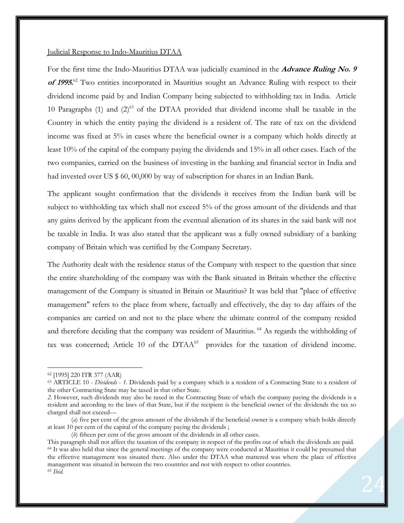## Judicial Response to Indo-Mauritius DTAA

For the first time the Indo-Mauritius DTAA was judicially examined in the **Advance Ruling No. 9**  of 1995.<sup>62</sup> Two entities incorporated in Mauritius sought an Advance Ruling with respect to their dividend income paid by and Indian Company being subjected to withholding tax in India. Article 10 Paragraphs (1) and  $(2)^{63}$  of the DTAA provided that dividend income shall be taxable in the Country in which the entity paying the dividend is a resident of. The rate of tax on the dividend income was fixed at 5% in cases where the beneficial owner is a company which holds directly at least 10% of the capital of the company paying the dividends and 15% in all other cases. Each of the two companies, carried on the business of investing in the banking and financial sector in India and had invested over US \$ 60, 00,000 by way of subscription for shares in an Indian Bank.

The applicant sought confirmation that the dividends it receives from the Indian bank will be subject to withholding tax which shall not exceed 5% of the gross amount of the dividends and that any gains derived by the applicant from the eventual alienation of its shares in the said bank will not be taxable in India. It was also stated that the applicant was a fully owned subsidiary of a banking company of Britain which was certified by the Company Secretary.

The Authority dealt with the residence status of the Company with respect to the question that since the entire shareholding of the company was with the Bank situated in Britain whether the effective management of the Company is situated in Britain or Mauritius? It was held that "place of effective management" refers to the place from where, factually and effectively, the day to day affairs of the companies are carried on and not to the place where the ultimate control of the company resided and therefore deciding that the company was resident of Mauritius.<sup>64</sup> As regards the withholding of tax was concerned; Article 10 of the DTAA<sup>65</sup> provides for the taxation of dividend income.

 $\overline{a}$ 

<sup>62 [1995] 220</sup> ITR 377 (AAR)

<sup>&</sup>lt;sup>63</sup> ARTICLE 10 - *Dividends* - 1. Dividends paid by a company which is a resident of a Contracting State to a resident of the other Contracting State may be taxed in that other State.

*<sup>2.</sup>* However, such dividends may also be taxed in the Contracting State of which the company paying the dividends is a resident and according to the laws of that State, but if the recipient is the beneficial owner of the dividends the tax so charged shall not exceed—

 <sup>(</sup>*a*) five per cent of the gross amount of the dividends if the beneficial owner is a company which holds directly at least 10 per cent of the capital of the company paying the dividends ;

 <sup>(</sup>*b*) fifteen per cent of the gross amount of the dividends in all other cases.

This paragraph shall not affect the taxation of the company in respect of the profits out of which the dividends are paid.<br><sup>64</sup> It was also held that since the general meetings of the company were conducted at Mauritius it the effective management was situated there. Also under the DTAA what mattered was where the place of effective management was situated in between the two countries and not with respect to other countries. 65 *Ibid.*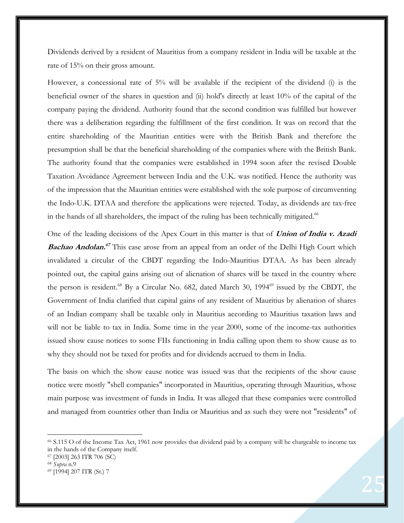Dividends derived by a resident of Mauritius from a company resident in India will be taxable at the rate of 15% on their gross amount.

However, a concessional rate of 5% will be available if the recipient of the dividend (i) is the beneficial owner of the shares in question and (ii) hold's directly at least 10% of the capital of the company paying the dividend. Authority found that the second condition was fulfilled but however there was a deliberation regarding the fulfillment of the first condition. It was on record that the entire shareholding of the Mauritian entities were with the British Bank and therefore the presumption shall be that the beneficial shareholding of the companies where with the British Bank. The authority found that the companies were established in 1994 soon after the revised Double Taxation Avoidance Agreement between India and the U.K. was notified. Hence the authority was of the impression that the Mauritian entities were established with the sole purpose of circumventing the Indo-U.K. DTAA and therefore the applications were rejected. Today, as dividends are tax-free in the hands of all shareholders, the impact of the ruling has been technically mitigated.<sup>66</sup>

One of the leading decisions of the Apex Court in this matter is that of **Union of India v. Azadi Bachao Andolan.**<sup>67</sup> This case arose from an appeal from an order of the Delhi High Court which invalidated a circular of the CBDT regarding the Indo-Mauritius DTAA. As has been already pointed out, the capital gains arising out of alienation of shares will be taxed in the country where the person is resident.<sup>68</sup> By a Circular No. 682, dated March 30, 1994<sup>69</sup> issued by the CBDT, the Government of India clarified that capital gains of any resident of Mauritius by alienation of shares of an Indian company shall be taxable only in Mauritius according to Mauritius taxation laws and will not be liable to tax in India. Some time in the year 2000, some of the income-tax authorities issued show cause notices to some FIIs functioning in India calling upon them to show cause as to why they should not be taxed for profits and for dividends accrued to them in India.

The basis on which the show cause notice was issued was that the recipients of the show cause notice were mostly "shell companies" incorporated in Mauritius, operating through Mauritius, whose main purpose was investment of funds in India. It was alleged that these companies were controlled and managed from countries other than India or Mauritius and as such they were not "residents" of

<sup>66</sup> S.115 O of the Income Tax Act, 1961 now provides that dividend paid by a company will he chargeable to income tax in the hands of the Company itself.

<sup>67 [2003] 263</sup> ITR 706 (SC)

<sup>68</sup> *Supra* n.9 69 [1994] 207 ITR (St.) 7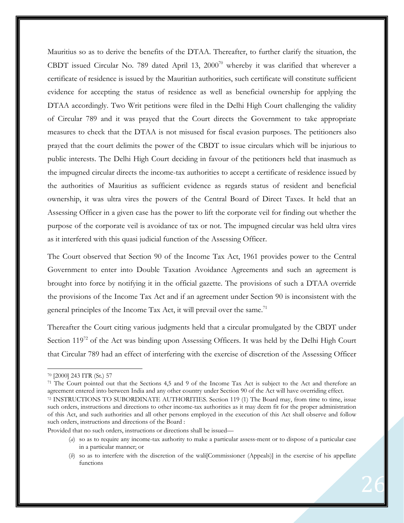Mauritius so as to derive the benefits of the DTAA. Thereafter, to further clarify the situation, the CBDT issued Circular No. 789 dated April 13,  $2000^{70}$  whereby it was clarified that wherever a certificate of residence is issued by the Mauritian authorities, such certificate will constitute sufficient evidence for accepting the status of residence as well as beneficial ownership for applying the DTAA accordingly. Two Writ petitions were filed in the Delhi High Court challenging the validity of Circular 789 and it was prayed that the Court directs the Government to take appropriate measures to check that the DTAA is not misused for fiscal evasion purposes. The petitioners also prayed that the court delimits the power of the CBDT to issue circulars which will be injurious to public interests. The Delhi High Court deciding in favour of the petitioners held that inasmuch as the impugned circular directs the income-tax authorities to accept a certificate of residence issued by the authorities of Mauritius as sufficient evidence as regards status of resident and beneficial ownership, it was ultra vires the powers of the Central Board of Direct Taxes. It held that an Assessing Officer in a given case has the power to lift the corporate veil for finding out whether the purpose of the corporate veil is avoidance of tax or not. The impugned circular was held ultra vires as it interfered with this quasi judicial function of the Assessing Officer.

The Court observed that Section 90 of the Income Tax Act, 1961 provides power to the Central Government to enter into Double Taxation Avoidance Agreements and such an agreement is brought into force by notifying it in the official gazette. The provisions of such a DTAA override the provisions of the Income Tax Act and if an agreement under Section 90 is inconsistent with the general principles of the Income Tax Act, it will prevail over the same.<sup>71</sup>

Thereafter the Court citing various judgments held that a circular promulgated by the CBDT under Section 119<sup>72</sup> of the Act was binding upon Assessing Officers. It was held by the Delhi High Court that Circular 789 had an effect of interfering with the exercise of discretion of the Assessing Officer

 $\overline{a}$ 

71 The Court pointed out that the Sections 4,5 and 9 of the Income Tax Act is subject to the Act and therefore an agreement entered into between India and any other country under Section 90 of the Act will have overriding effect.

Provided that no such orders, instructions or directions shall be issued—

<sup>70 [2000] 243</sup> ITR (St.) 57

<sup>72</sup> INSTRUCTIONS TO SUBORDINATE AUTHORITIES. Section 119 (1) The Board may, from time to time, issue such orders, instructions and directions to other income-tax authorities as it may deem fit for the proper administration of this Act, and such authorities and all other persons employed in the execution of this Act shall observe and follow such orders, instructions and directions of the Board :

 <sup>(</sup>*a*) so as to require any income-tax authority to make a particular assess-ment or to dispose of a particular case in a particular manner; or

 <sup>(</sup>*b*) so as to interfere with the discretion of the wali[Commissioner (Appeals)] in the exercise of his appellate functions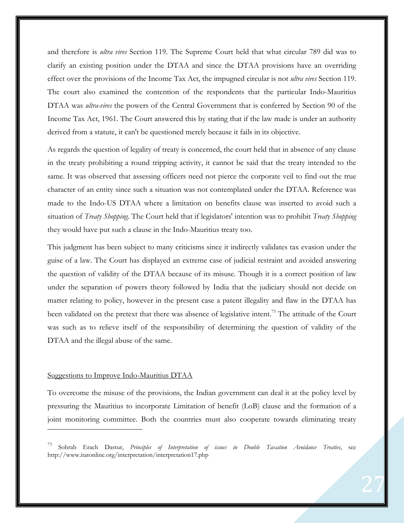and therefore is *ultra vires* Section 119. The Supreme Court held that what circular 789 did was to clarify an existing position under the DTAA and since the DTAA provisions have an overriding effect over the provisions of the Income Tax Act, the impugned circular is not *ultra vires* Section 119. The court also examined the contention of the respondents that the particular Indo-Mauritius DTAA was *ultra-vires* the powers of the Central Government that is conferred by Section 90 of the Income Tax Act, 1961. The Court answered this by stating that if the law made is under an authority derived from a statute, it can't be questioned merely because it fails in its objective.

As regards the question of legality of treaty is concerned, the court held that in absence of any clause in the treaty prohibiting a round tripping activity, it cannot be said that the treaty intended to the same. It was observed that assessing officers need not pierce the corporate veil to find out the true character of an entity since such a situation was not contemplated under the DTAA. Reference was made to the Indo-US DTAA where a limitation on benefits clause was inserted to avoid such a situation of *Treaty Shopping*. The Court held that if legislators' intention was to prohibit *Treaty Shopping* they would have put such a clause in the Indo-Mauritius treaty too.

This judgment has been subject to many criticisms since it indirectly validates tax evasion under the guise of a law. The Court has displayed an extreme case of judicial restraint and avoided answering the question of validity of the DTAA because of its misuse. Though it is a correct position of law under the separation of powers theory followed by India that the judiciary should not decide on matter relating to policy, however in the present case a patent illegality and flaw in the DTAA has been validated on the pretext that there was absence of legislative intent.<sup>73</sup> The attitude of the Court was such as to relieve itself of the responsibility of determining the question of validity of the DTAA and the illegal abuse of the same.

#### Suggestions to Improve Indo-Mauritius DTAA

 $\overline{a}$ 

To overcome the misuse of the provisions, the Indian government can deal it at the policy level by pressuring the Mauritius to incorporate Limitation of benefit (LoB) clause and the formation of a joint monitoring committee. Both the countries must also cooperate towards eliminating treaty

<sup>73</sup> Sohrab Erach Dastur, *Principles of Interpretation of issues in Double Taxation Avoidance Treaties*, see http://www.itatonline.org/interpretation/interpretation17.php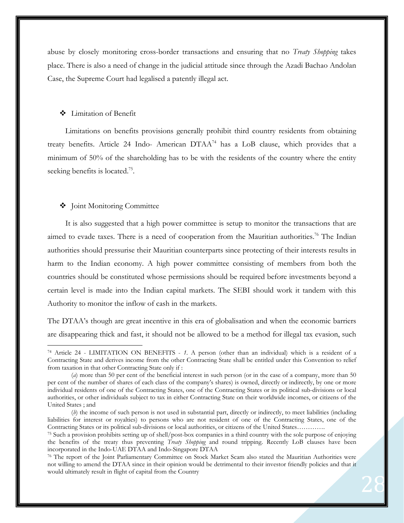abuse by closely monitoring cross-border transactions and ensuring that no *Treaty Shopping* takes place. There is also a need of change in the judicial attitude since through the Azadi Bachao Andolan Case, the Supreme Court had legalised a patently illegal act.

## Limitation of Benefit

 Limitations on benefits provisions generally prohibit third country residents from obtaining treaty benefits. Article 24 Indo- American  $DTAA^{74}$  has a LoB clause, which provides that a minimum of 50% of the shareholding has to be with the residents of the country where the entity seeking benefits is located.<sup>75</sup>.

## Joint Monitoring Committee

 $\overline{a}$ 

 It is also suggested that a high power committee is setup to monitor the transactions that are aimed to evade taxes. There is a need of cooperation from the Mauritian authorities.<sup>76</sup> The Indian authorities should pressurise their Mauritian counterparts since protecting of their interests results in harm to the Indian economy. A high power committee consisting of members from both the countries should be constituted whose permissions should be required before investments beyond a certain level is made into the Indian capital markets. The SEBI should work it tandem with this Authority to monitor the inflow of cash in the markets.

The DTAA's though are great incentive in this era of globalisation and when the economic barriers are disappearing thick and fast, it should not be allowed to be a method for illegal tax evasion, such

<sup>74</sup> Article 24 - LIMITATION ON BENEFITS - *1.* A person (other than an individual) which is a resident of a Contracting State and derives income from the other Contracting State shall be entitled under this Convention to relief from taxation in that other Contracting State only if :

 <sup>(</sup>*a*) more than 50 per cent of the beneficial interest in such person (or in the case of a company, more than 50 per cent of the number of shares of each class of the company's shares) is owned, directly or indirectly, by one or more individual residents of one of the Contracting States, one of the Contracting States or its political sub-divisions or local authorities, or other individuals subject to tax in either Contracting State on their worldwide incomes, or citizens of the United States ; and

<sup>(</sup>*b*) the income of such person is not used in substantial part, directly or indirectly, to meet liabilities (including liabilities for interest or royalties) to persons who are not resident of one of the Contracting States, one of the Contracting States or its political sub-divisions or local authorities, or citizens of the United States.............<br><sup>75</sup> Such a provision prohibits setting up of shell/post-box companies in a third country with the sole

the benefits of the treaty thus preventing *Treaty Shopping* and round tripping. Recently LoB clauses have been incorporated in the Indo-UAE DTAA and Indo-Singapore DTAA

<sup>76</sup> The report of the Joint Parliamentary Committee on Stock Market Scam also stated the Mauritian Authorities were not willing to amend the DTAA since in their opinion would be detrimental to their investor friendly policies and that it would ultimately result in flight of capital from the Country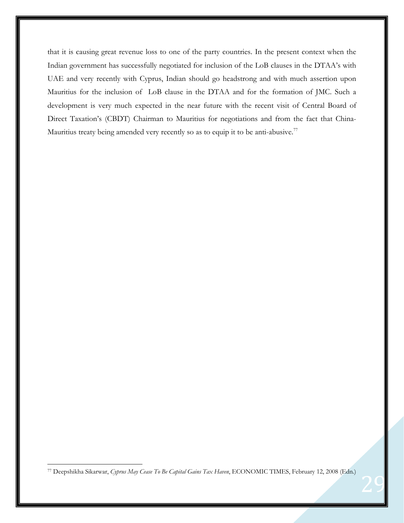that it is causing great revenue loss to one of the party countries. In the present context when the Indian government has successfully negotiated for inclusion of the LoB clauses in the DTAA's with UAE and very recently with Cyprus, Indian should go headstrong and with much assertion upon Mauritius for the inclusion of LoB clause in the DTAA and for the formation of JMC. Such a development is very much expected in the near future with the recent visit of Central Board of Direct Taxation's (CBDT) Chairman to Mauritius for negotiations and from the fact that China-Mauritius treaty being amended very recently so as to equip it to be anti-abusive.<sup>77</sup>

<sup>77</sup> Deepshikha Sikarwar, *Cyprus May Cease To Be Capital Gains Tax Haven*, ECONOMIC TIMES, February 12, 2008 (Edn.)